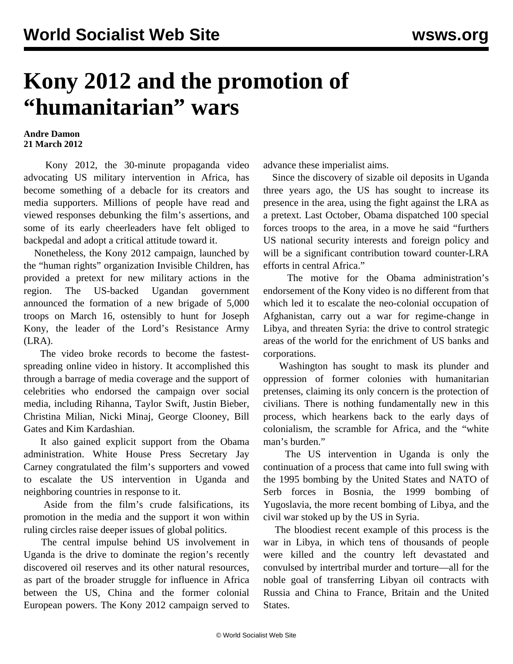## **Kony 2012 and the promotion of "humanitarian" wars**

## **Andre Damon 21 March 2012**

 Kony 2012, the 30-minute propaganda video advocating US military intervention in Africa, has become something of a debacle for its creators and media supporters. Millions of people have read and viewed responses debunking the film's assertions, and some of its early cheerleaders have felt obliged to backpedal and adopt a critical attitude toward it.

 Nonetheless, the Kony 2012 campaign, launched by the "human rights" organization Invisible Children, has provided a pretext for new military actions in the region. The US-backed Ugandan government announced the formation of a new brigade of 5,000 troops on March 16, ostensibly to hunt for Joseph Kony, the leader of the Lord's Resistance Army (LRA).

 The video broke records to become the fastestspreading online video in history. It accomplished this through a barrage of media coverage and the support of celebrities who endorsed the campaign over social media, including Rihanna, Taylor Swift, Justin Bieber, Christina Milian, Nicki Minaj, George Clooney, Bill Gates and Kim Kardashian.

 It also gained explicit support from the Obama administration. White House Press Secretary Jay Carney congratulated the film's supporters and vowed to escalate the US intervention in Uganda and neighboring countries in response to it.

 Aside from the film's crude falsifications, its promotion in the media and the support it won within ruling circles raise deeper issues of global politics.

 The central impulse behind US involvement in Uganda is the drive to dominate the region's recently discovered oil reserves and its other natural resources, as part of the broader struggle for influence in Africa between the US, China and the former colonial European powers. The Kony 2012 campaign served to advance these imperialist aims.

 Since the discovery of sizable oil deposits in Uganda three years ago, the US has sought to increase its presence in the area, using the fight against the LRA as a pretext. Last October, Obama dispatched 100 special forces troops to the area, in a move he said "furthers US national security interests and foreign policy and will be a significant contribution toward counter-LRA efforts in central Africa."

 The motive for the Obama administration's endorsement of the Kony video is no different from that which led it to escalate the neo-colonial occupation of Afghanistan, carry out a war for regime-change in Libya, and threaten Syria: the drive to control strategic areas of the world for the enrichment of US banks and corporations.

 Washington has sought to mask its plunder and oppression of former colonies with humanitarian pretenses, claiming its only concern is the protection of civilians. There is nothing fundamentally new in this process, which hearkens back to the early days of colonialism, the scramble for Africa, and the "white man's burden."

 The US intervention in Uganda is only the continuation of a process that came into full swing with the 1995 bombing by the United States and NATO of Serb forces in Bosnia, the 1999 bombing of Yugoslavia, the more recent bombing of Libya, and the civil war stoked up by the US in Syria.

 The bloodiest recent example of this process is the war in Libya, in which tens of thousands of people were killed and the country left devastated and convulsed by intertribal murder and torture—all for the noble goal of transferring Libyan oil contracts with Russia and China to France, Britain and the United States.